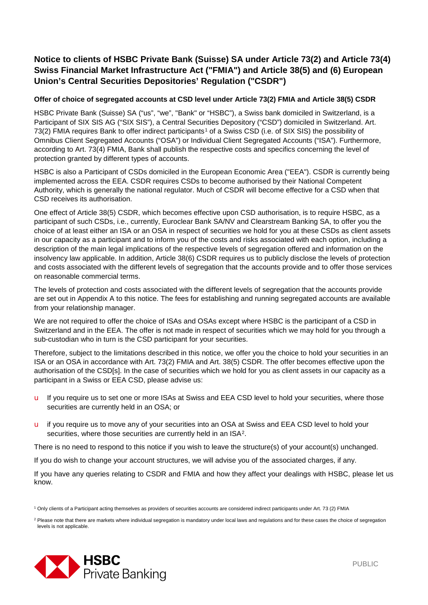## **Notice to clients of HSBC Private Bank (Suisse) SA under Article 73(2) and Article 73(4) Swiss Financial Market Infrastructure Act ("FMIA") and Article 38(5) and (6) European Union's Central Securities Depositories' Regulation ("CSDR")**

## **Offer of choice of segregated accounts at CSD level under Article 73(2) FMIA and Article 38(5) CSDR**

HSBC Private Bank (Suisse) SA ("us", "we", "Bank" or "HSBC"), a Swiss bank domiciled in Switzerland, is a Participant of SIX SIS AG ("SIX SIS"), a Central Securities Depository ("CSD") domiciled in Switzerland. Art. 73(2) FMIA requires Bank to offer indirect participants<sup>[1](#page-0-0)</sup> of a Swiss CSD (i.e. of SIX SIS) the possibility of Omnibus Client Segregated Accounts ("OSA") or Individual Client Segregated Accounts ("ISA"). Furthermore, according to Art. 73(4) FMIA, Bank shall publish the respective costs and specifics concerning the level of protection granted by different types of accounts.

HSBC is also a Participant of CSDs domiciled in the European Economic Area ("EEA"). CSDR is currently being implemented across the EEA. CSDR requires CSDs to become authorised by their National Competent Authority, which is generally the national regulator. Much of CSDR will become effective for a CSD when that CSD receives its authorisation.

One effect of Article 38(5) CSDR, which becomes effective upon CSD authorisation, is to require HSBC, as a participant of such CSDs, i.e., currently, Euroclear Bank SA/NV and Clearstream Banking SA, to offer you the choice of at least either an ISA or an OSA in respect of securities we hold for you at these CSDs as client assets in our capacity as a participant and to inform you of the costs and risks associated with each option, including a description of the main legal implications of the respective levels of segregation offered and information on the insolvency law applicable. In addition, Article 38(6) CSDR requires us to publicly disclose the levels of protection and costs associated with the different levels of segregation that the accounts provide and to offer those services on reasonable commercial terms.

The levels of protection and costs associated with the different levels of segregation that the accounts provide are set out in Appendix A to this notice. The fees for establishing and running segregated accounts are available from your relationship manager.

We are not required to offer the choice of ISAs and OSAs except where HSBC is the participant of a CSD in Switzerland and in the EEA. The offer is not made in respect of securities which we may hold for you through a sub-custodian who in turn is the CSD participant for your securities.

Therefore, subject to the limitations described in this notice, we offer you the choice to hold your securities in an ISA or an OSA in accordance with Art. 73(2) FMIA and Art. 38(5) CSDR. The offer becomes effective upon the authorisation of the CSD[s]. In the case of securities which we hold for you as client assets in our capacity as a participant in a Swiss or EEA CSD, please advise us:

- u If you require us to set one or more ISAs at Swiss and EEA CSD level to hold your securities, where those securities are currently held in an OSA; or
- u if you require us to move any of your securities into an OSA at Swiss and EEA CSD level to hold your securities, where those securities are currently held in an ISA<sup>[2](#page-0-1)</sup>.

There is no need to respond to this notice if you wish to leave the structure(s) of your account(s) unchanged.

If you do wish to change your account structures, we will advise you of the associated charges, if any.

If you have any queries relating to CSDR and FMIA and how they affect your dealings with HSBC, please let us know.

<span id="page-0-1"></span><span id="page-0-0"></span><sup>&</sup>lt;sup>2</sup> Please note that there are markets where individual segregation is mandatory under local laws and regulations and for these cases the choice of segregation levels is not applicable.



<sup>1</sup> Only clients of a Participant acting themselves as providers of securities accounts are considered indirect participants under Art. 73 (2) FMIA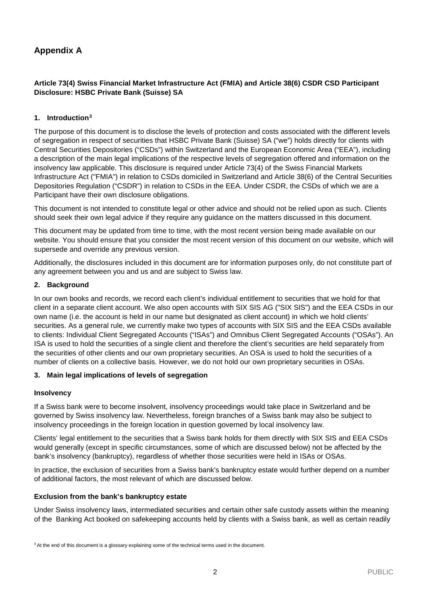# **Appendix A**

## **Article 73(4) Swiss Financial Market Infrastructure Act (FMIA) and Article 38(6) CSDR CSD Participant Disclosure: HSBC Private Bank (Suisse) SA**

## **1. Introduction[3](#page-1-0)**

The purpose of this document is to disclose the levels of protection and costs associated with the different levels of segregation in respect of securities that HSBC Private Bank (Suisse) SA ("we") holds directly for clients with Central Securities Depositories ("CSDs") within Switzerland and the European Economic Area ("EEA"), including a description of the main legal implications of the respective levels of segregation offered and information on the insolvency law applicable. This disclosure is required under Article 73(4) of the Swiss Financial Markets Infrastructure Act ("FMIA") in relation to CSDs domiciled in Switzerland and Article 38(6) of the Central Securities Depositories Regulation ("CSDR") in relation to CSDs in the EEA. Under CSDR, the CSDs of which we are a Participant have their own disclosure obligations.

This document is not intended to constitute legal or other advice and should not be relied upon as such. Clients should seek their own legal advice if they require any guidance on the matters discussed in this document.

This document may be updated from time to time, with the most recent version being made available on our website. You should ensure that you consider the most recent version of this document on our website, which will supersede and override any previous version.

Additionally, the disclosures included in this document are for information purposes only, do not constitute part of any agreement between you and us and are subject to Swiss law.

## **2. Background**

In our own books and records, we record each client's individual entitlement to securities that we hold for that client in a separate client account. We also open accounts with SIX SIS AG ("SIX SIS") and the EEA CSDs in our own name (i.e. the account is held in our name but designated as client account) in which we hold clients' securities. As a general rule, we currently make two types of accounts with SIX SIS and the EEA CSDs available to clients: Individual Client Segregated Accounts ("ISAs") and Omnibus Client Segregated Accounts ("OSAs"). An ISA is used to hold the securities of a single client and therefore the client's securities are held separately from the securities of other clients and our own proprietary securities. An OSA is used to hold the securities of a number of clients on a collective basis. However, we do not hold our own proprietary securities in OSAs.

## **3. Main legal implications of levels of segregation**

## **Insolvency**

If a Swiss bank were to become insolvent, insolvency proceedings would take place in Switzerland and be governed by Swiss insolvency law. Nevertheless, foreign branches of a Swiss bank may also be subject to insolvency proceedings in the foreign location in question governed by local insolvency law.

Clients' legal entitlement to the securities that a Swiss bank holds for them directly with SIX SIS and EEA CSDs would generally (except in specific circumstances, some of which are discussed below) not be affected by the bank's insolvency (bankruptcy), regardless of whether those securities were held in ISAs or OSAs.

In practice, the exclusion of securities from a Swiss bank's bankruptcy estate would further depend on a number of additional factors, the most relevant of which are discussed below.

## **Exclusion from the bank's bankruptcy estate**

Under Swiss insolvency laws, intermediated securities and certain other safe custody assets within the meaning of the Banking Act booked on safekeeping accounts held by clients with a Swiss bank, as well as certain readily

<span id="page-1-0"></span><sup>&</sup>lt;sup>3</sup> At the end of this document is a glossary explaining some of the technical terms used in the document.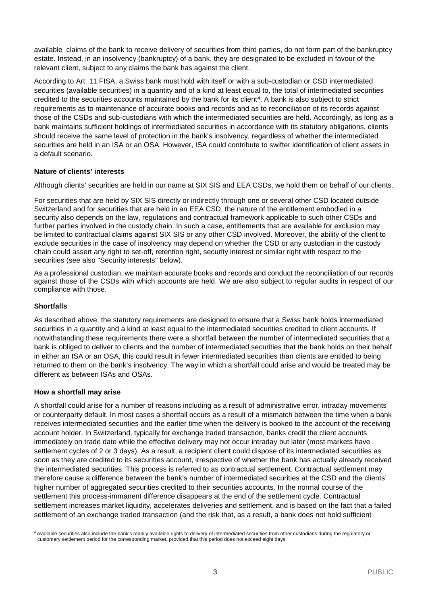available claims of the bank to receive delivery of securities from third parties, do not form part of the bankruptcy estate. Instead, in an insolvency (bankruptcy) of a bank, they are designated to be excluded in favour of the relevant client, subject to any claims the bank has against the client.

According to Art. 11 FISA, a Swiss bank must hold with itself or with a sub-custodian or CSD intermediated securities (available securities) in a quantity and of a kind at least equal to, the total of intermediated securities credited to the securities accounts maintained by the bank for its client<sup>[4](#page-2-0)</sup>. A bank is also subject to strict requirements as to maintenance of accurate books and records and as to reconciliation of its records against those of the CSDs and sub-custodians with which the intermediated securities are held. Accordingly, as long as a bank maintains sufficient holdings of intermediated securities in accordance with its statutory obligations, clients should receive the same level of protection in the bank's insolvency, regardless of whether the intermediated securities are held in an ISA or an OSA. However, ISA could contribute to swifter identification of client assets in a default scenario.

## **Nature of clients' interests**

Although clients' securities are held in our name at SIX SIS and EEA CSDs, we hold them on behalf of our clients.

For securities that are held by SIX SIS directly or indirectly through one or several other CSD located outside Switzerland and for securities that are held in an EEA CSD, the nature of the entitlement embodied in a security also depends on the law, regulations and contractual framework applicable to such other CSDs and further parties involved in the custody chain. In such a case, entitlements that are available for exclusion may be limited to contractual claims against SIX SIS or any other CSD involved. Moreover, the ability of the client to exclude securities in the case of insolvency may depend on whether the CSD or any custodian in the custody chain could assert any right to set-off, retention right, security interest or similar right with respect to the securities (see also "Security interests" below).

As a professional custodian, we maintain accurate books and records and conduct the reconciliation of our records against those of the CSDs with which accounts are held. We are also subject to regular audits in respect of our compliance with those.

## **Shortfalls**

As described above, the statutory requirements are designed to ensure that a Swiss bank holds intermediated securities in a quantity and a kind at least equal to the intermediated securities credited to client accounts. If notwithstanding these requirements there were a shortfall between the number of intermediated securities that a bank is obliged to deliver to clients and the number of intermediated securities that the bank holds on their behalf in either an ISA or an OSA, this could result in fewer intermediated securities than clients are entitled to being returned to them on the bank's insolvency. The way in which a shortfall could arise and would be treated may be different as between ISAs and OSAs.

## **How a shortfall may arise**

A shortfall could arise for a number of reasons including as a result of administrative error, intraday movements or counterparty default. In most cases a shortfall occurs as a result of a mismatch between the time when a bank receives intermediated securities and the earlier time when the delivery is booked to the account of the receiving account holder. In Switzerland, typically for exchange traded transaction, banks credit the client accounts immediately on trade date while the effective delivery may not occur intraday but later (most markets have settlement cycles of 2 or 3 days). As a result, a recipient client could dispose of its intermediated securities as soon as they are credited to its securities account, irrespective of whether the bank has actually already received the intermediated securities. This process is referred to as contractual settlement. Contractual settlement may therefore cause a difference between the bank's number of intermediated securities at the CSD and the clients' higher number of aggregated securities credited to their securities accounts. In the normal course of the settlement this process-immanent difference disappears at the end of the settlement cycle. Contractual settlement increases market liquidity, accelerates deliveries and settlement, and is based on the fact that a failed settlement of an exchange traded transaction (and the risk that, as a result, a bank does not hold sufficient

<span id="page-2-0"></span><sup>4</sup> Available securities also include the bank's readily available rights to delivery of intermediated securities from other custodians during the regulatory or customary settlement period for the corresponding market, provided that this period does not exceed eight days.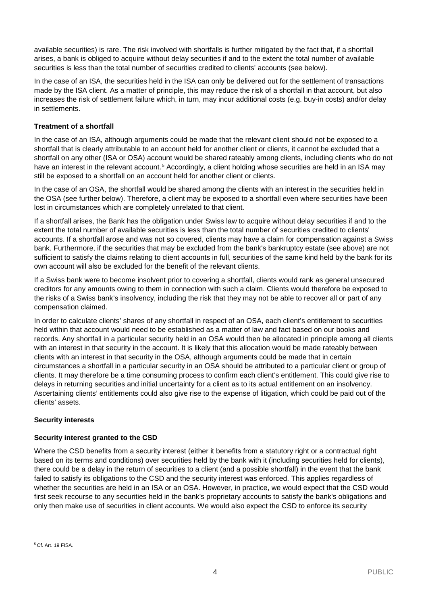available securities) is rare. The risk involved with shortfalls is further mitigated by the fact that, if a shortfall arises, a bank is obliged to acquire without delay securities if and to the extent the total number of available securities is less than the total number of securities credited to clients' accounts (see below).

In the case of an ISA, the securities held in the ISA can only be delivered out for the settlement of transactions made by the ISA client. As a matter of principle, this may reduce the risk of a shortfall in that account, but also increases the risk of settlement failure which, in turn, may incur additional costs (e.g. buy-in costs) and/or delay in settlements.

## **Treatment of a shortfall**

In the case of an ISA, although arguments could be made that the relevant client should not be exposed to a shortfall that is clearly attributable to an account held for another client or clients, it cannot be excluded that a shortfall on any other (ISA or OSA) account would be shared rateably among clients, including clients who do not have an interest in the relevant account.<sup>[5](#page-3-0)</sup> Accordingly, a client holding whose securities are held in an ISA may still be exposed to a shortfall on an account held for another client or clients.

In the case of an OSA, the shortfall would be shared among the clients with an interest in the securities held in the OSA (see further below). Therefore, a client may be exposed to a shortfall even where securities have been lost in circumstances which are completely unrelated to that client.

If a shortfall arises, the Bank has the obligation under Swiss law to acquire without delay securities if and to the extent the total number of available securities is less than the total number of securities credited to clients' accounts. If a shortfall arose and was not so covered, clients may have a claim for compensation against a Swiss bank. Furthermore, if the securities that may be excluded from the bank's bankruptcy estate (see above) are not sufficient to satisfy the claims relating to client accounts in full, securities of the same kind held by the bank for its own account will also be excluded for the benefit of the relevant clients.

If a Swiss bank were to become insolvent prior to covering a shortfall, clients would rank as general unsecured creditors for any amounts owing to them in connection with such a claim. Clients would therefore be exposed to the risks of a Swiss bank's insolvency, including the risk that they may not be able to recover all or part of any compensation claimed.

In order to calculate clients' shares of any shortfall in respect of an OSA, each client's entitlement to securities held within that account would need to be established as a matter of law and fact based on our books and records. Any shortfall in a particular security held in an OSA would then be allocated in principle among all clients with an interest in that security in the account. It is likely that this allocation would be made rateably between clients with an interest in that security in the OSA, although arguments could be made that in certain circumstances a shortfall in a particular security in an OSA should be attributed to a particular client or group of clients. It may therefore be a time consuming process to confirm each client's entitlement. This could give rise to delays in returning securities and initial uncertainty for a client as to its actual entitlement on an insolvency. Ascertaining clients' entitlements could also give rise to the expense of litigation, which could be paid out of the clients' assets.

## **Security interests**

## **Security interest granted to the CSD**

<span id="page-3-0"></span>Where the CSD benefits from a security interest (either it benefits from a statutory right or a contractual right based on its terms and conditions) over securities held by the bank with it (including securities held for clients), there could be a delay in the return of securities to a client (and a possible shortfall) in the event that the bank failed to satisfy its obligations to the CSD and the security interest was enforced. This applies regardless of whether the securities are held in an ISA or an OSA. However, in practice, we would expect that the CSD would first seek recourse to any securities held in the bank's proprietary accounts to satisfy the bank's obligations and only then make use of securities in client accounts. We would also expect the CSD to enforce its security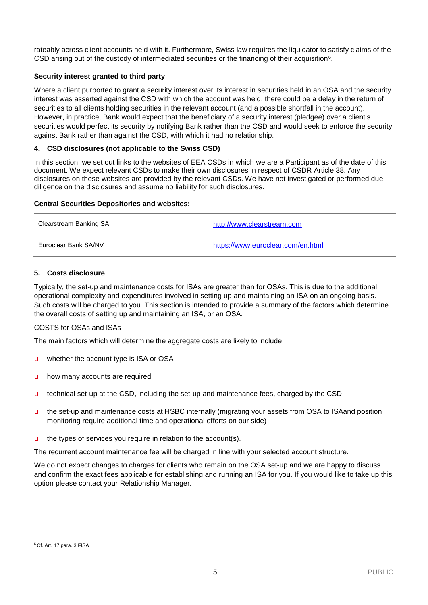rateably across client accounts held with it. Furthermore, Swiss law requires the liquidator to satisfy claims of the CSD arising out of the custody of intermediated securities or the financing of their acquisition<sup>6</sup>.

## **Security interest granted to third party**

Where a client purported to grant a security interest over its interest in securities held in an OSA and the security interest was asserted against the CSD with which the account was held, there could be a delay in the return of securities to all clients holding securities in the relevant account (and a possible shortfall in the account). However, in practice, Bank would expect that the beneficiary of a security interest (pledgee) over a client's securities would perfect its security by notifying Bank rather than the CSD and would seek to enforce the security against Bank rather than against the CSD, with which it had no relationship.

## **4. CSD disclosures (not applicable to the Swiss CSD)**

In this section, we set out links to the websites of EEA CSDs in which we are a Participant as of the date of this document. We expect relevant CSDs to make their own disclosures in respect of CSDR Article 38. Any disclosures on these websites are provided by the relevant CSDs. We have not investigated or performed due diligence on the disclosures and assume no liability for such disclosures.

## **Central Securities Depositories and websites:**

| Clearstream Banking SA | http://www.clearstream.com        |
|------------------------|-----------------------------------|
| Euroclear Bank SA/NV   | https://www.euroclear.com/en.html |

## **5. Costs disclosure**

Typically, the set-up and maintenance costs for ISAs are greater than for OSAs. This is due to the additional operational complexity and expenditures involved in setting up and maintaining an ISA on an ongoing basis. Such costs will be charged to you. This section is intended to provide a summary of the factors which determine the overall costs of setting up and maintaining an ISA, or an OSA.

## COSTS for OSAs and ISAs

The main factors which will determine the aggregate costs are likely to include:

- u whether the account type is ISA or OSA
- u how many accounts are required
- u technical set-up at the CSD, including the set-up and maintenance fees, charged by the CSD
- u the set-up and maintenance costs at HSBC internally (migrating your assets from OSA to ISAand position monitoring require additional time and operational efforts on our side)
- $\blacksquare$  the types of services you require in relation to the account(s).

The recurrent account maintenance fee will be charged in line with your selected account structure.

<span id="page-4-0"></span>We do not expect changes to charges for clients who remain on the OSA set-up and we are happy to discuss and confirm the exact fees applicable for establishing and running an ISA for you. If you would like to take up this option please contact your Relationship Manager.